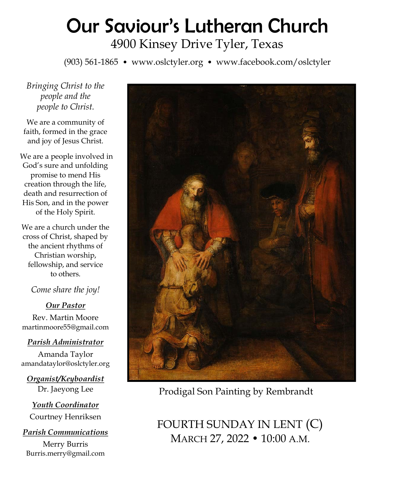# Our Saviour's Lutheran Church 4900 Kinsey Drive Tyler, Texas

(903) 561-1865 • www.oslctyler.org • www.facebook.com/oslctyler

*Bringing Christ to the people and the people to Christ.*

We are a community of faith, formed in the grace and joy of Jesus Christ.

We are a people involved in God's sure and unfolding promise to mend His creation through the life, death and resurrection of His Son, and in the power of the Holy Spirit.

We are a church under the cross of Christ, shaped by the ancient rhythms of Christian worship, fellowship, and service to others.

*Come share the joy!*

*Our Pastor* Rev. Martin Moore martinmoore55@gmail.com

#### *Parish Administrator*

Amanda Taylor amandataylor@oslctyler.org

*Organist/Keyboardist* Dr. Jaeyong Lee

*Youth Coordinator* Courtney Henriksen

*Parish Communications* Merry Burris Burris.merry@gmail.com



Prodigal Son Painting by Rembrandt

FOURTH SUNDAY IN LENT (C) MARCH 27, 2022 • 10:00 A.M.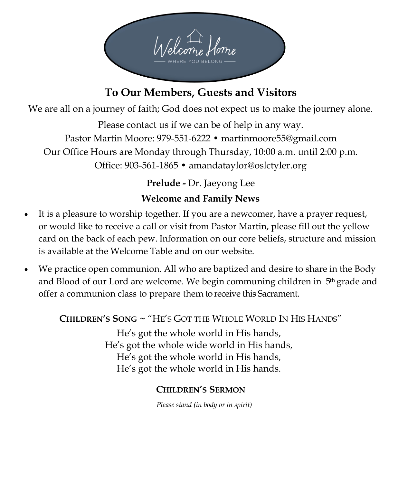

# **To Our Members, Guests and Visitors**

We are all on a journey of faith; God does not expect us to make the journey alone. Please contact us if we can be of help in any way. Pastor Martin Moore: 979-551-6222 • martinmoore55@gmail.com Our Office Hours are Monday through Thursday, 10:00 a.m. until 2:00 p.m. Office: 903-561-1865 • amandataylor@oslctyler.org

> **Prelude -** Dr. Jaeyong Lee **Welcome and Family News**

- It is a pleasure to worship together. If you are a newcomer, have a prayer request, or would like to receive a call or visit from Pastor Martin, please fill out the yellow card on the back of each pew. Information on our core beliefs, structure and mission is available at the Welcome Table and on our website.
- We practice open communion. All who are baptized and desire to share in the Body and Blood of our Lord are welcome. We begin communing children in 5th grade and offer a communion class to prepare them to receive this Sacrament.

**CHILDREN'S SONG ~** "HE'S GOT THE WHOLE WORLD IN HIS HANDS"

He's got the whole world in His hands, He's got the whole wide world in His hands, He's got the whole world in His hands, He's got the whole world in His hands.

### **CHILDREN'S SERMON**

*Please stand (in body or in spirit)*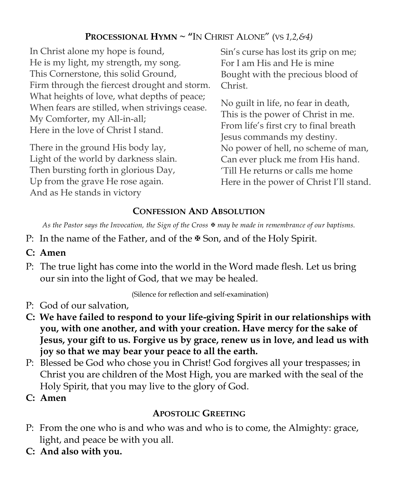### **PROCESSIONAL HYMN ~ "**IN CHRIST ALONE" (VS *1,2,&4)*

In Christ alone my hope is found, He is my light, my strength, my song. This Cornerstone, this solid Ground, Firm through the fiercest drought and storm. What heights of love, what depths of peace; When fears are stilled, when strivings cease. My Comforter, my All-in-all; Here in the love of Christ I stand.

There in the ground His body lay, Light of the world by darkness slain. Then bursting forth in glorious Day, Up from the grave He rose again. And as He stands in victory

Sin's curse has lost its grip on me; For I am His and He is mine Bought with the precious blood of Christ.

No guilt in life, no fear in death, This is the power of Christ in me. From life's first cry to final breath Jesus commands my destiny. No power of hell, no scheme of man, Can ever pluck me from His hand. 'Till He returns or calls me home Here in the power of Christ I'll stand.

# **CONFESSION AND ABSOLUTION**

*As the Pastor says the Invocation, the Sign of the Cross* <sup>★</sup> *may be made in remembrance of our baptisms.* 

- P: In the name of the Father, and of the <sup>₩</sup> Son, and of the Holy Spirit.
- **C: Amen**
- P: The true light has come into the world in the Word made flesh. Let us bring our sin into the light of God, that we may be healed.

(Silence for reflection and self-examination)

- P: God of our salvation,
- **C: We have failed to respond to your life-giving Spirit in our relationships with you, with one another, and with your creation. Have mercy for the sake of Jesus, your gift to us. Forgive us by grace, renew us in love, and lead us with joy so that we may bear your peace to all the earth.**
- P: Blessed be God who chose you in Christ! God forgives all your trespasses; in Christ you are children of the Most High, you are marked with the seal of the Holy Spirit, that you may live to the glory of God.
- **C: Amen**

# **APOSTOLIC GREETING**

- P: From the one who is and who was and who is to come, the Almighty: grace, light, and peace be with you all.
- **C: And also with you.**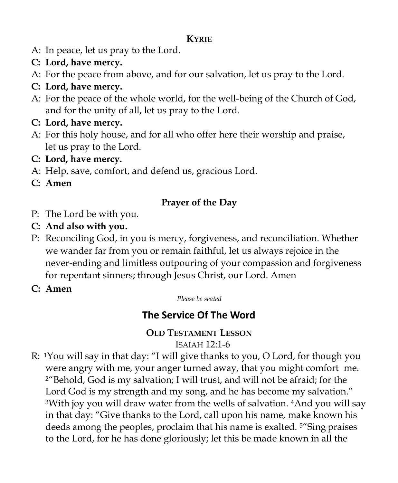### **KYRIE**

- A: In peace, let us pray to the Lord.
- **C: Lord, have mercy.**
- A: For the peace from above, and for our salvation, let us pray to the Lord.
- **C: Lord, have mercy.**
- A: For the peace of the whole world, for the well-being of the Church of God, and for the unity of all, let us pray to the Lord.
- **C: Lord, have mercy.**
- A: For this holy house, and for all who offer here their worship and praise, let us pray to the Lord.
- **C: Lord, have mercy.**
- A: Help, save, comfort, and defend us, gracious Lord.
- **C: Amen**

# **Prayer of the Day**

- P: The Lord be with you.
- **C: And also with you.**
- P: Reconciling God, in you is mercy, forgiveness, and reconciliation. Whether we wander far from you or remain faithful, let us always rejoice in the never-ending and limitless outpouring of your compassion and forgiveness for repentant sinners; through Jesus Christ, our Lord. Amen
- **C: Amen**

*Please be seated*

# **The Service Of The Word**

### **OLD TESTAMENT LESSON** ISAIAH 12:1-6

R: 1You will say in that day: "I will give thanks to you, O Lord, for though you were angry with me, your anger turned away, that you might comfort me. <sup>2</sup>"Behold, God is my salvation; I will trust, and will not be afraid; for the Lord God is my strength and my song, and he has become my salvation." <sup>3</sup>With joy you will draw water from the wells of salvation. 4And you will say in that day: "Give thanks to the Lord, call upon his name, make known his deeds among the peoples, proclaim that his name is exalted. 5"Sing praises to the Lord, for he has done gloriously; let this be made known in all the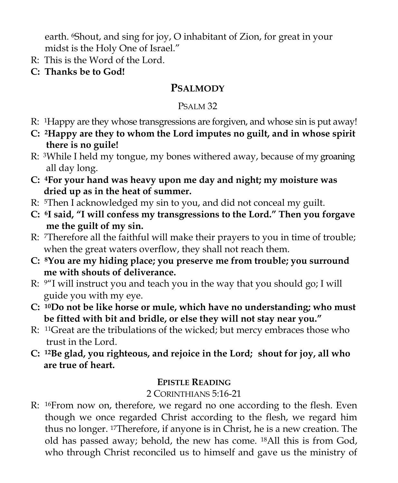earth. 6Shout, and sing for joy, O inhabitant of Zion, for great in your midst is the Holy One of Israel."

- R: This is the Word of the Lord.
- **C: Thanks be to God!**

### **PSALMODY**

### PSALM 32

- R: 1Happy are they whose transgressions are forgiven, and whose sin is put away!
- **C: 2Happy are they to whom the Lord imputes no guilt, and in whose spirit there is no guile!**
- R: <sup>3</sup>While I held my tongue, my bones withered away, because of my groaning all day long.
- **C: 4For your hand was heavy upon me day and night; my moisture was dried up as in the heat of summer.**
- R: 5Then I acknowledged my sin to you, and did not conceal my guilt.
- **C: 6I said, "I will confess my transgressions to the Lord." Then you forgave me the guilt of my sin.**
- R: 7Therefore all the faithful will make their prayers to you in time of trouble; when the great waters overflow, they shall not reach them.
- **C: 8You are my hiding place; you preserve me from trouble; you surround me with shouts of deliverance.**
- R: 9"I will instruct you and teach you in the way that you should go; I will guide you with my eye.
- **C: 10Do not be like horse or mule, which have no understanding; who must be fitted with bit and bridle, or else they will not stay near you."**
- R: <sup>11</sup>Great are the tribulations of the wicked; but mercy embraces those who trust in the Lord.
- **C: 12Be glad, you righteous, and rejoice in the Lord; shout for joy, all who are true of heart.**

### **EPISTLE READING**

# 2 CORINTHIANS 5:16-21

R: <sup>16</sup>From now on, therefore, we regard no one according to the flesh. Even though we once regarded Christ according to the flesh, we regard him thus no longer. 17Therefore, if anyone is in Christ, he is a new creation. The old has passed away; behold, the new has come. 18All this is from God, who through Christ reconciled us to himself and gave us the ministry of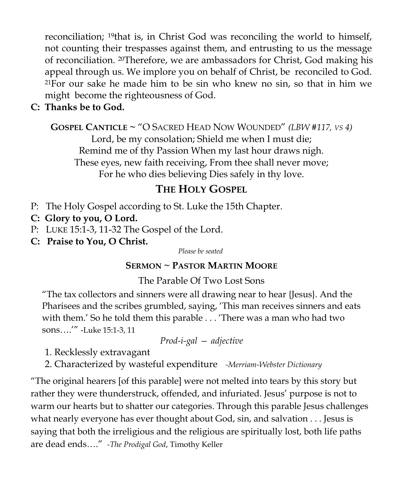reconciliation; 19that is, in Christ God was reconciling the world to himself, not counting their trespasses against them, and entrusting to us the message of reconciliation. 20Therefore, we are ambassadors for Christ, God making his appeal through us. We implore you on behalf of Christ, be reconciled to God. <sup>21</sup>For our sake he made him to be sin who knew no sin, so that in him we might become the righteousness of God.

### **C: Thanks be to God.**

**GOSPEL CANTICLE ~** "O SACRED HEAD NOW WOUNDED" *(LBW #117, VS 4)*  Lord, be my consolation; Shield me when I must die; Remind me of thy Passion When my last hour draws nigh. These eyes, new faith receiving, From thee shall never move; For he who dies believing Dies safely in thy love.

### **THE HOLY GOSPEL**

- P: The Holy Gospel according to St. Luke the 15th Chapter.
- **C: Glory to you, O Lord.**
- P: LUKE 15:1-3, 11-32 The Gospel of the Lord.
- **C: Praise to You, O Christ.**

*Please be seated*

#### **SERMON ~ PASTOR MARTIN MOORE**

The Parable Of Two Lost Sons

"The tax collectors and sinners were all drawing near to hear {Jesus}. And the Pharisees and the scribes grumbled, saying, 'This man receives sinners and eats with them.' So he told them this parable . . . 'There was a man who had two sons….'" -Luke 15:1-3, 11

*Prod-i-gal — adjective* 

1. Recklessly extravagant

2. Characterized by wasteful expenditure *-Merriam-Webster Dictionary* 

"The original hearers [of this parable] were not melted into tears by this story but rather they were thunderstruck, offended, and infuriated. Jesus' purpose is not to warm our hearts but to shatter our categories. Through this parable Jesus challenges what nearly everyone has ever thought about God, sin, and salvation . . . Jesus is saying that both the irreligious and the religious are spiritually lost, both life paths are dead ends…." *-The Prodigal God*, Timothy Keller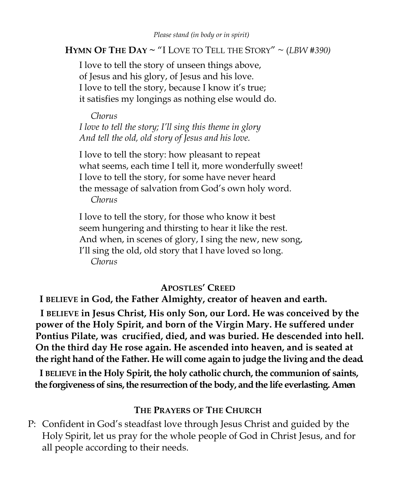### **HYMN OF THE DAY**  $\sim$  "I LOVE TO TELL THE STORY"  $\sim$  (*LBW #390*)

I love to tell the story of unseen things above, of Jesus and his glory, of Jesus and his love. I love to tell the story, because I know it's true; it satisfies my longings as nothing else would do.

 *Chorus I love to tell the story; I'll sing this theme in glory And tell the old, old story of Jesus and his love.*

I love to tell the story: how pleasant to repeat what seems, each time I tell it, more wonderfully sweet! I love to tell the story, for some have never heard the message of salvation from God's own holy word.  *Chorus*

I love to tell the story, for those who know it best seem hungering and thirsting to hear it like the rest. And when, in scenes of glory, I sing the new, new song, I'll sing the old, old story that I have loved so long. *Chorus*

### **APOSTLES' CREED**

 **I BELIEVE in God, the Father Almighty, creator of heaven and earth.**

 **I BELIEVE in Jesus Christ, His only Son, our Lord. He was conceived by the power of the Holy Spirit, and born of the Virgin Mary. He suffered under Pontius Pilate, was crucified, died, and was buried. He descended into hell. On the third day He rose again. He ascended into heaven, and is seated at the right hand of the Father. He will come again to judge the living and the dead.**

 **I BELIEVE in the Holy Spirit, the holy catholic church, the communion of saints, the forgiveness of sins, the resurrection of the body, and the life everlasting. Amen** 

### **THE PRAYERS OF THE CHURCH**

P: Confident in God's steadfast love through Jesus Christ and guided by the Holy Spirit, let us pray for the whole people of God in Christ Jesus, and for all people according to their needs.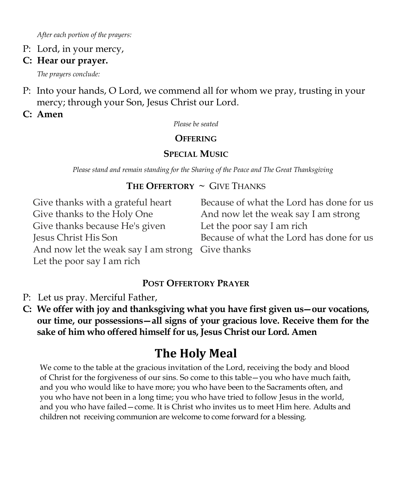*After each portion of the prayers:*

#### P: Lord, in your mercy,

#### **C: Hear our prayer.**

*The prayers conclude:*

P: Into your hands, O Lord, we commend all for whom we pray, trusting in your mercy; through your Son, Jesus Christ our Lord.

#### **C: Amen**

*Please be seated*

#### **OFFERING**

#### **SPECIAL MUSIC**

*Please stand and remain standing for the Sharing of the Peace and The Great Thanksgiving*

#### **THE OFFERTORY** *~* GIVE THANKS

Give thanks with a grateful heart Give thanks to the Holy One Give thanks because He's given Jesus Christ His Son And now let the weak say I am strong Give thanksLet the poor say I am rich Because of what the Lord has done for us And now let the weak say I am strong Let the poor say I am rich Because of what the Lord has done for us

### **POST OFFERTORY PRAYER**

- P: Let us pray. Merciful Father,
- **C: We offer with joy and thanksgiving what you have first given us—our vocations, our time, our possessions—all signs of your gracious love. Receive them for the sake of him who offered himself for us, Jesus Christ our Lord. Amen**

# **The Holy Meal**

We come to the table at the gracious invitation of the Lord, receiving the body and blood of Christ for the forgiveness of our sins. So come to this table—you who have much faith, and you who would like to have more; you who have been to the Sacraments often, and you who have not been in a long time; you who have tried to follow Jesus in the world, and you who have failed—come. It is Christ who invites us to meet Him here. Adults and children not receiving communion are welcome to come forward for a blessing.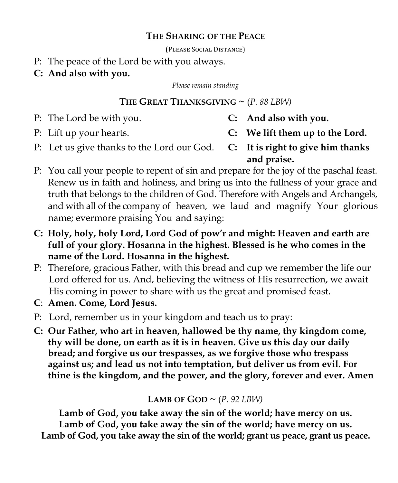#### **THE SHARING OF THE PEACE**

(Please Social Distance)

- P: The peace of the Lord be with you always.
- **C: And also with you.**

*Please remain standing* 

### **THE GREAT THANKSGIVING**  $\sim$  (*P. 88 LBW*)

- 
- P: The Lord be with you. **C: And also with you.**
- P: Lift up your hearts. **C: We lift them up to the Lord.**
- 
- P: Let us give thanks to the Lord our God. **C: It is right to give him thanks**
- **and praise.**
- P: You call your people to repent of sin and prepare for the joy of the paschal feast. Renew us in faith and holiness, and bring us into the fullness of your grace and truth that belongs to the children of God. Therefore with Angels and Archangels, and with all of the company of heaven, we laud and magnify Your glorious name; evermore praising You and saying:
- **C: Holy, holy, holy Lord, Lord God of pow'r and might: Heaven and earth are full of your glory. Hosanna in the highest. Blessed is he who comes in the name of the Lord. Hosanna in the highest.**
- P: Therefore, gracious Father, with this bread and cup we remember the life our Lord offered for us. And, believing the witness of His resurrection, we await His coming in power to share with us the great and promised feast.
- **C**: **Amen. Come, Lord Jesus.**
- P: Lord, remember us in your kingdom and teach us to pray:
- **C: Our Father, who art in heaven, hallowed be thy name, thy kingdom come, thy will be done, on earth as it is in heaven. Give us this day our daily bread; and forgive us our trespasses, as we forgive those who trespass against us; and lead us not into temptation, but deliver us from evil. For thine is the kingdom, and the power, and the glory, forever and ever. Amen**

### **LAMB OF GOD**  $\sim$  (*P. 92 LBW*)

**Lamb of God, you take away the sin of the world; have mercy on us. Lamb of God, you take away the sin of the world; have mercy on us. Lamb of God, you take away the sin of the world; grant us peace, grant us peace.**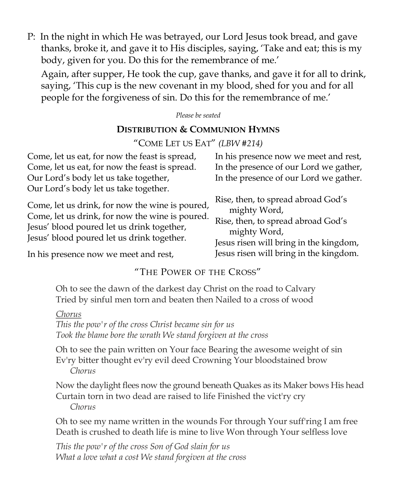P: In the night in which He was betrayed, our Lord Jesus took bread, and gave thanks, broke it, and gave it to His disciples, saying, 'Take and eat; this is my body, given for you. Do this for the remembrance of me.'

Again, after supper, He took the cup, gave thanks, and gave it for all to drink, saying, 'This cup is the new covenant in my blood, shed for you and for all people for the forgiveness of sin. Do this for the remembrance of me.'

*Please be seated*

### **DISTRIBUTION & COMMUNION HYMNS**

"COME LET US EAT" *(LBW #214)*

Come, let us eat, for now the feast is spread, Come, let us eat, for now the feast is spread. Our Lord's body let us take together, Our Lord's body let us take together.

Come, let us drink, for now the wine is poured, Come, let us drink, for now the wine is poured. Jesus' blood poured let us drink together, Jesus' blood poured let us drink together.

In his presence now we meet and rest,

In his presence now we meet and rest, In the presence of our Lord we gather, In the presence of our Lord we gather.

Rise, then, to spread abroad God's mighty Word, Rise, then, to spread abroad God's mighty Word, Jesus risen will bring in the kingdom, Jesus risen will bring in the kingdom.

"THE POWER OF THE CROSS"

Oh to see the dawn of the darkest day Christ on the road to Calvary Tried by sinful men torn and beaten then Nailed to a cross of wood

*Chorus*

*This the pow'r of the cross Christ became sin for us Took the blame bore the wrath We stand forgiven at the cross*

Oh to see the pain written on Your face Bearing the awesome weight of sin Ev'ry bitter thought ev'ry evil deed Crowning Your bloodstained brow

*Chorus*

**LEADERS FOR WORSHIP** Now the daylight flees now the ground beneath Quakes as its Maker bows His head Curtain torn in two dead are raised to life Finished the vict'ry cry R**eader: Cheryl Pontious** *Chorus*

Oh to see my name written in the wounds For through Your suff'ring I am free Death is crushed to death life is mine to live Won through Your selfless love

*This the pow'r of the cross Son of God slain for us What a love what a cost We stand forgiven at the cross*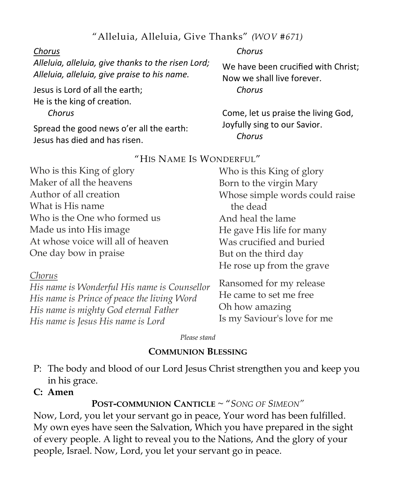### "Alleluia, Alleluia, Give Thanks" *(WOV #671)*

#### *Chorus*

*Alleluia, alleluia, give thanks to the risen Lord; Alleluia, alleluia, give praise to his name.*

Jesus is Lord of all the earth; He is the king of creation.

*Chorus*

Spread the good news o'er all the earth: Jesus has died and has risen.

#### *Chorus*

We have been crucified with Christ; Now we shall live forever.

*Chorus*

Come, let us praise the living God, Joyfully sing to our Savior. *Chorus*

| Who is this King of glory                    | Who is this King of glory      |  |
|----------------------------------------------|--------------------------------|--|
| Maker of all the heavens                     | Born to the virgin Mary        |  |
| Author of all creation                       | Whose simple words could raise |  |
| What is His name                             | the dead                       |  |
| Who is the One who formed us                 | And heal the lame              |  |
| Made us into His image                       | He gave His life for many      |  |
| At whose voice will all of heaven            | Was crucified and buried       |  |
| One day bow in praise                        | But on the third day           |  |
|                                              | He rose up from the grave      |  |
| Chorus                                       |                                |  |
| His name is Wonderful His name is Counsellor | Ransomed for my release        |  |
| His name is Prince of peace the living Word  | He came to set me free         |  |
| His name is mighty God eternal Father        | Oh how amazing                 |  |
| His name is Jesus His name is Lord           | Is my Saviour's love for me    |  |

#### "HIS NAME IS WONDERFUL"

*Please stand*

### **COMMUNION BLESSING**

P: The body and blood of our Lord Jesus Christ strengthen you and keep you in his grace.

### **C: Amen**

# **POST-COMMUNION CANTICLE** ~ "*SONG OF SIMEON"*

Now, Lord, you let your servant go in peace, Your word has been fulfilled. My own eyes have seen the Salvation, Which you have prepared in the sight of every people. A light to reveal you to the Nations, And the glory of your people, Israel. Now, Lord, you let your servant go in peace.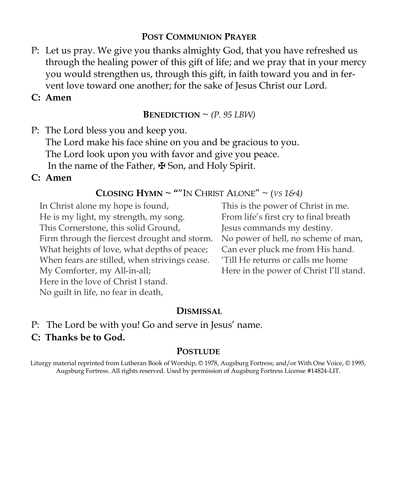### **POST COMMUNION PRAYER**

P: Let us pray. We give you thanks almighty God, that you have refreshed us through the healing power of this gift of life; and we pray that in your mercy you would strengthen us, through this gift, in faith toward you and in fervent love toward one another; for the sake of Jesus Christ our Lord.

#### **C: Amen**

#### **BENEDICTION**  $\sim$  *(P. 95 LBW)*

- P: The Lord bless you and keep you. The Lord make his face shine on you and be gracious to you. The Lord look upon you with favor and give you peace. In the name of the Father, ✠ Son, and Holy Spirit.
- **C: Amen**

### $C$ **LOSING**  $H$ **YMN**  $\sim$  ""IN CHRIST ALONE"  $\sim$  (*vs* 1&4)

In Christ alone my hope is found, He is my light, my strength, my song. This Cornerstone, this solid Ground, Firm through the fiercest drought and storm. What heights of love, what depths of peace; When fears are stilled, when strivings cease. My Comforter, my All-in-all; Here in the love of Christ I stand. No guilt in life, no fear in death,

This is the power of Christ in me. From life's first cry to final breath Jesus commands my destiny. No power of hell, no scheme of man, Can ever pluck me from His hand. 'Till He returns or calls me home Here in the power of Christ I'll stand.

### **DISMISSAL**

P: The Lord be with you! Go and serve in Jesus' name. **C: Thanks be to God.** 

#### **POSTLUDE**

Liturgy material reprinted from Lutheran Book of Worship, © 1978, Augsburg Fortress; and/or With One Voice, © 1995, Augsburg Fortress. All rights reserved. Used by permission of Augsburg Fortress License #14824-LIT.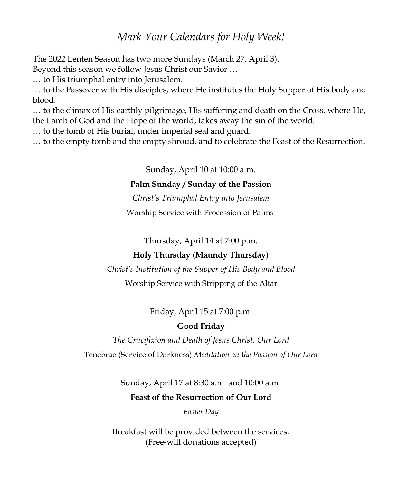### *Mark Your Calendars for Holy Week!*

The 2022 Lenten Season has two more Sundays (March 27, April 3). Beyond this season we follow Jesus Christ our Savior …

… to His triumphal entry into Jerusalem.

… to the Passover with His disciples, where He institutes the Holy Supper of His body and blood.

… to the climax of His earthly pilgrimage, His suffering and death on the Cross, where He, the Lamb of God and the Hope of the world, takes away the sin of the world.

… to the tomb of His burial, under imperial seal and guard.

… to the empty tomb and the empty shroud, and to celebrate the Feast of the Resurrection.

Sunday, April 10 at 10:00 a.m.

#### **Palm Sunday / Sunday of the Passion**

*Christ's Triumphal Entry into Jerusalem*

Worship Service with Procession of Palms

Thursday, April 14 at 7:00 p.m.

### **Holy Thursday (Maundy Thursday)**

*Christ's Institution of the Supper of His Body and Blood*

Worship Service with Stripping of the Altar

Friday, April 15 at 7:00 p.m.

### **Good Friday**

*The Crucifixion and Death of Jesus Christ, Our Lord*

Tenebrae (Service of Darkness) *Meditation on* t*he Passion of Our Lord* 

Sunday, April 17 at 8:30 a.m. and 10:00 a.m.

**Feast of the Resurrection of Our Lord**

*Easter Day*

Breakfast will be provided between the services. (Free-will donations accepted)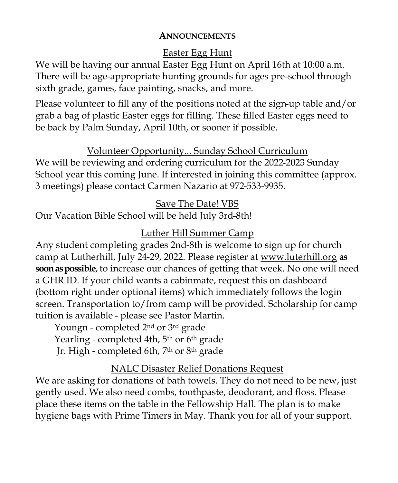#### **ANNOUNCEMENTS**

### Easter Egg Hunt

We will be having our annual Easter Egg Hunt on April 16th at 10:00 a.m. There will be age-appropriate hunting grounds for ages pre-school through sixth grade, games, face painting, snacks, and more.

Please volunteer to fill any of the positions noted at the sign-up table and/or grab a bag of plastic Easter eggs for filling. These filled Easter eggs need to be back by Palm Sunday, April 10th, or sooner if possible.

### Volunteer Opportunity... Sunday School Curriculum

We will be reviewing and ordering curriculum for the 2022-2023 Sunday School year this coming June. If interested in joining this committee (approx. 3 meetings) please contact Carmen Nazario at 972-533-9935.

### Save The Date! VBS

Our Vacation Bible School will be held July 3rd-8th!

# Luther Hill Summer Camp

Any student completing grades 2nd-8th is welcome to sign up for church camp at Lutherhill, July 24-29, 2022. Please register at [www.luterhill.org](http://www.luterhill.org) **as soon as possible**, to increase our chances of getting that week. No one will need a GHR ID. If your child wants a cabinmate, request this on dashboard (bottom right under optional items) which immediately follows the login screen. Transportation to/from camp will be provided. Scholarship for camp tuition is available - please see Pastor Martin.

Youngn - completed 2nd or 3rd grade Yearling - completed 4th, 5<sup>th</sup> or 6<sup>th</sup> grade Jr. High - completed 6th, 7th or 8th grade

### NALC Disaster Relief Donations Request

We are asking for donations of bath towels. They do not need to be new, just gently used. We also need combs, toothpaste, deodorant, and floss. Please place these items on the table in the Fellowship Hall. The plan is to make hygiene bags with Prime Timers in May. Thank you for all of your support.